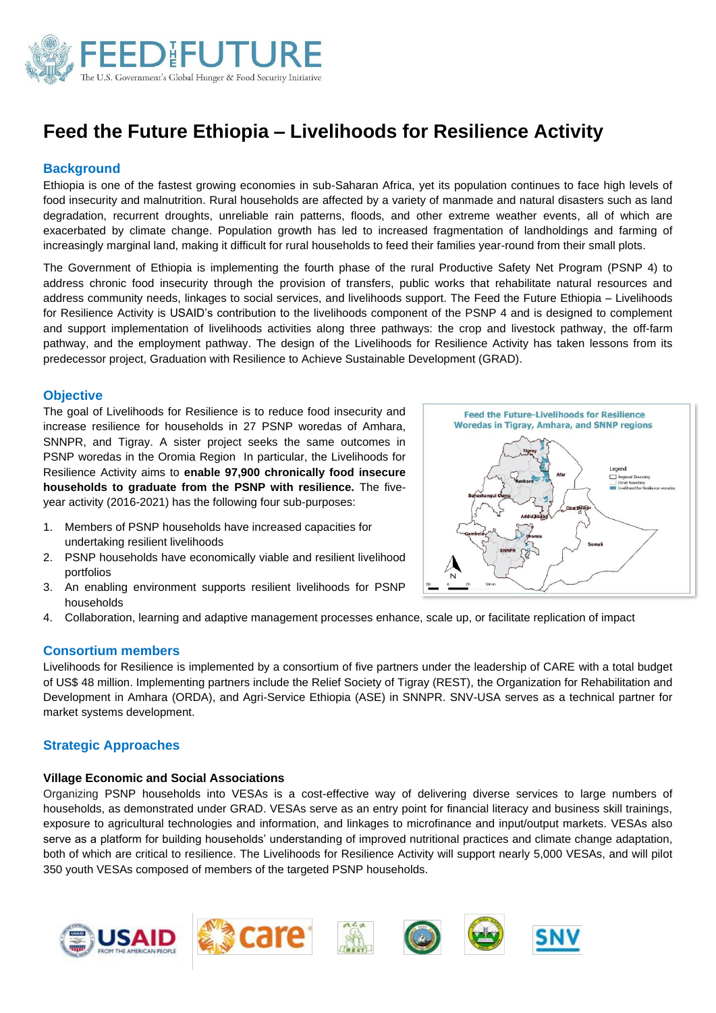

# **Feed the Future Ethiopia – Livelihoods for Resilience Activity**

### **Background**

Ethiopia is one of the fastest growing economies in sub-Saharan Africa, yet its population continues to face high levels of food insecurity and malnutrition. Rural households are affected by a variety of manmade and natural disasters such as land degradation, recurrent droughts, unreliable rain patterns, floods, and other extreme weather events, all of which are exacerbated by climate change. Population growth has led to increased fragmentation of landholdings and farming of increasingly marginal land, making it difficult for rural households to feed their families year-round from their small plots.

The Government of Ethiopia is implementing the fourth phase of the rural Productive Safety Net Program (PSNP 4) to address chronic food insecurity through the provision of transfers, public works that rehabilitate natural resources and address community needs, linkages to social services, and livelihoods support. The Feed the Future Ethiopia – Livelihoods for Resilience Activity is USAID's contribution to the livelihoods component of the PSNP 4 and is designed to complement and support implementation of livelihoods activities along three pathways: the crop and livestock pathway, the off-farm pathway, and the employment pathway. The design of the Livelihoods for Resilience Activity has taken lessons from its predecessor project, Graduation with Resilience to Achieve Sustainable Development (GRAD).

#### **Objective**

The goal of Livelihoods for Resilience is to reduce food insecurity and increase resilience for households in 27 PSNP woredas of Amhara, SNNPR, and Tigray. A sister project seeks the same outcomes in PSNP woredas in the Oromia Region In particular, the Livelihoods for Resilience Activity aims to **enable 97,900 chronically food insecure households to graduate from the PSNP with resilience.** The fiveyear activity (2016-2021) has the following four sub-purposes:

- 1. Members of PSNP households have increased capacities for undertaking resilient livelihoods
- 2. PSNP households have economically viable and resilient livelihood portfolios
- 3. An enabling environment supports resilient livelihoods for PSNP households
- 4. Collaboration, learning and adaptive management processes enhance, scale up, or facilitate replication of impact

#### **Consortium members**

Livelihoods for Resilience is implemented by a consortium of five partners under the leadership of CARE with a total budget of US\$ 48 million. Implementing partners include the Relief Society of Tigray (REST), the Organization for Rehabilitation and Development in Amhara (ORDA), and Agri-Service Ethiopia (ASE) in SNNPR. SNV-USA serves as a technical partner for market systems development.

#### **Strategic Approaches**

#### **Village Economic and Social Associations**

Organizing PSNP households into VESAs is a cost-effective way of delivering diverse services to large numbers of households, as demonstrated under GRAD. VESAs serve as an entry point for financial literacy and business skill trainings, exposure to agricultural technologies and information, and linkages to microfinance and input/output markets. VESAs also serve as a platform for building households' understanding of improved nutritional practices and climate change adaptation, both of which are critical to resilience. The Livelihoods for Resilience Activity will support nearly 5,000 VESAs, and will pilot 350 youth VESAs composed of members of the targeted PSNP households.